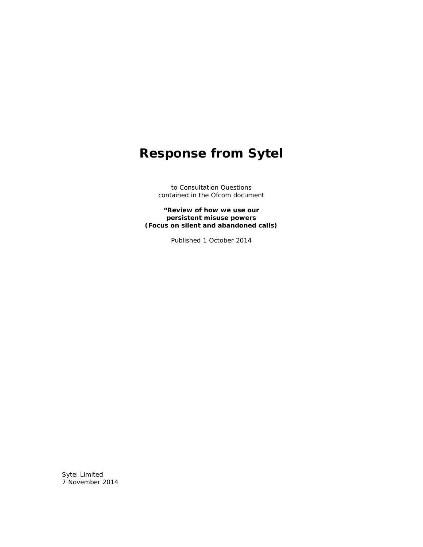## **Response from Sytel**

to Consultation Questions contained in the Ofcom document

**"Review of how we use our persistent misuse powers (Focus on silent and abandoned calls)**

Published 1 October 2014

Sytel Limited 7 November 2014